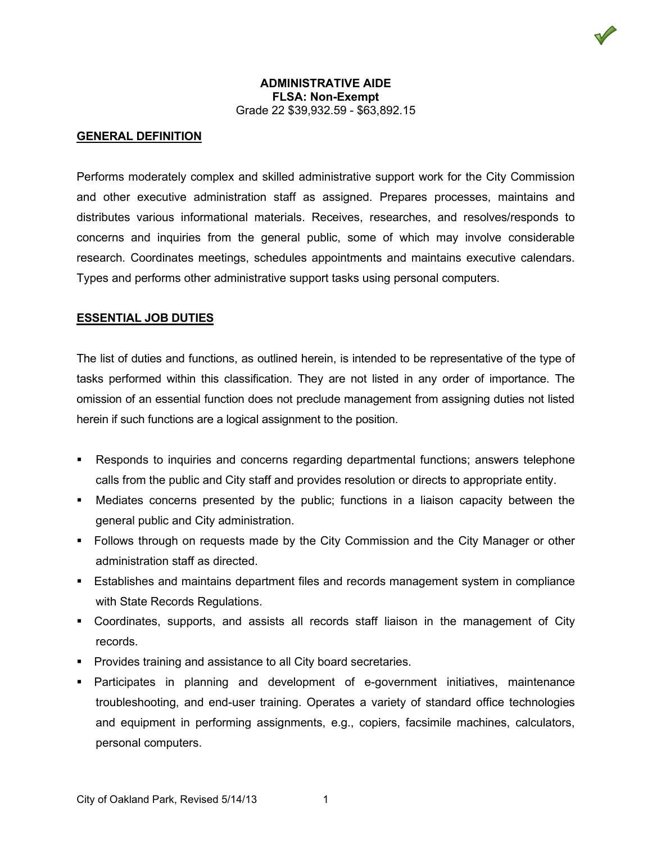### **ADMINISTRATIVE AIDE FLSA: Non-Exempt** Grade 22 \$39,932.59 - \$63,892.15

### **GENERAL DEFINITION**

Performs moderately complex and skilled administrative support work for the City Commission and other executive administration staff as assigned. Prepares processes, maintains and distributes various informational materials. Receives, researches, and resolves/responds to concerns and inquiries from the general public, some of which may involve considerable research. Coordinates meetings, schedules appointments and maintains executive calendars. Types and performs other administrative support tasks using personal computers.

#### **ESSENTIAL JOB DUTIES**

The list of duties and functions, as outlined herein, is intended to be representative of the type of tasks performed within this classification. They are not listed in any order of importance. The omission of an essential function does not preclude management from assigning duties not listed herein if such functions are a logical assignment to the position.

- Responds to inquiries and concerns regarding departmental functions; answers telephone calls from the public and City staff and provides resolution or directs to appropriate entity.
- Mediates concerns presented by the public; functions in a liaison capacity between the general public and City administration.
- Follows through on requests made by the City Commission and the City Manager or other administration staff as directed.
- Establishes and maintains department files and records management system in compliance with State Records Regulations.
- Coordinates, supports, and assists all records staff liaison in the management of City records.
- **Provides training and assistance to all City board secretaries.**
- Participates in planning and development of e-government initiatives, maintenance troubleshooting, and end-user training. Operates a variety of standard office technologies and equipment in performing assignments, e.g., copiers, facsimile machines, calculators, personal computers.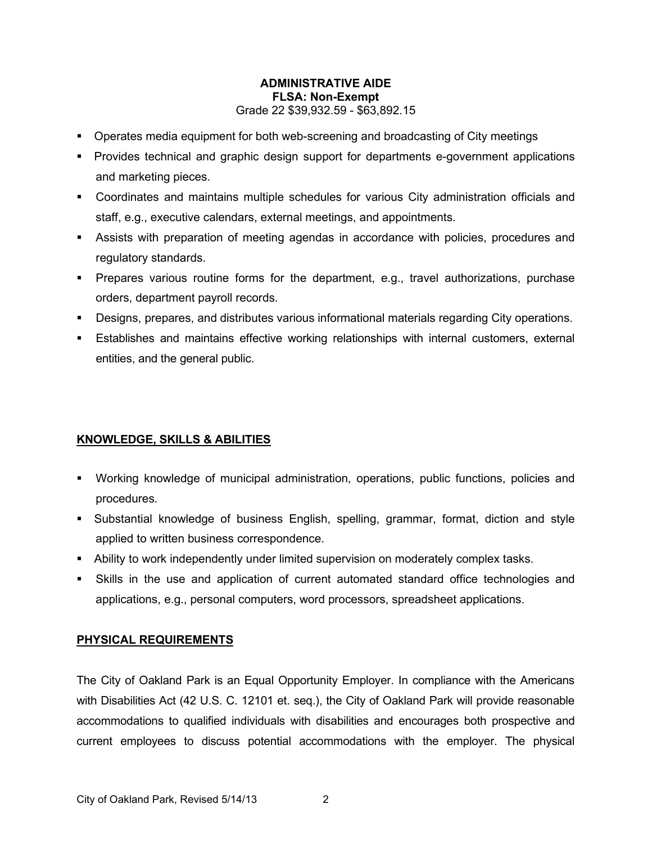# **ADMINISTRATIVE AIDE FLSA: Non-Exempt** Grade 22 \$39,932.59 - \$63,892.15

- Operates media equipment for both web-screening and broadcasting of City meetings
- Provides technical and graphic design support for departments e-government applications and marketing pieces.
- Coordinates and maintains multiple schedules for various City administration officials and staff, e.g., executive calendars, external meetings, and appointments.
- Assists with preparation of meeting agendas in accordance with policies, procedures and regulatory standards.
- Prepares various routine forms for the department, e.g., travel authorizations, purchase orders, department payroll records.
- Designs, prepares, and distributes various informational materials regarding City operations.
- Establishes and maintains effective working relationships with internal customers, external entities, and the general public.

# **KNOWLEDGE, SKILLS & ABILITIES**

- Working knowledge of municipal administration, operations, public functions, policies and procedures.
- Substantial knowledge of business English, spelling, grammar, format, diction and style applied to written business correspondence.
- Ability to work independently under limited supervision on moderately complex tasks.
- Skills in the use and application of current automated standard office technologies and applications, e.g., personal computers, word processors, spreadsheet applications.

# **PHYSICAL REQUIREMENTS**

The City of Oakland Park is an Equal Opportunity Employer. In compliance with the Americans with Disabilities Act (42 U.S. C. 12101 et. seq.), the City of Oakland Park will provide reasonable accommodations to qualified individuals with disabilities and encourages both prospective and current employees to discuss potential accommodations with the employer. The physical